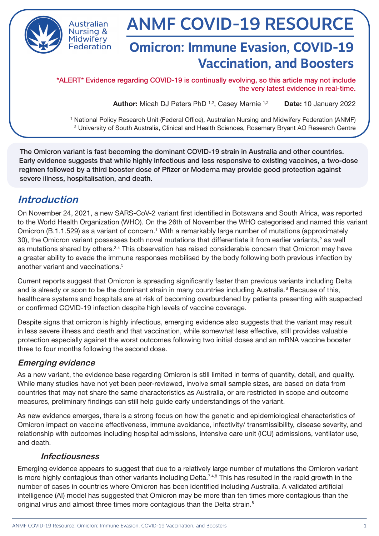

Midwiferv Federation

# ANMF COVID-19 RESOURCE

## **Omicron: Immune Evasion, COVID-19 Vaccination, and Boosters**

\*ALERT\* Evidence regarding COVID-19 is continually evolving, so this article may not include the very latest evidence in real-time.

Author: Micah DJ Peters PhD<sup>1,2</sup>, Casey Marnie<sup>1,2</sup> Date: 10 January 2022

1 National Policy Research Unit (Federal Office), Australian Nursing and Midwifery Federation (ANMF) 2 University of South Australia, Clinical and Health Sciences, Rosemary Bryant AO Research Centre

The Omicron variant is fast becoming the dominant COVID-19 strain in Australia and other countries. Early evidence suggests that while highly infectious and less responsive to existing vaccines, a two-dose regimen followed by a third booster dose of Pfizer or Moderna may provide good protection against severe illness, hospitalisation, and death.

### **Introduction**

On November 24, 2021, a new SARS-CoV-2 variant first identified in Botswana and South Africa, was reported to the World Health Organization (WHO). On the 26th of November the WHO categorised and named this variant Omicron (B.1.1.529) as a variant of concern.<sup>1</sup> With a remarkably large number of mutations (approximately 30), the Omicron variant possesses both novel mutations that differentiate it from earlier variants,<sup>2</sup> as well as mutations shared by others.<sup>3,4</sup> This observation has raised considerable concern that Omicron may have a greater ability to evade the immune responses mobilised by the body following both previous infection by another variant and vaccinations.<sup>5</sup>

Current reports suggest that Omicron is spreading significantly faster than previous variants including Delta and is already or soon to be the dominant strain in many countries including Australia.<sup>6</sup> Because of this, healthcare systems and hospitals are at risk of becoming overburdened by patients presenting with suspected or confirmed COVID-19 infection despite high levels of vaccine coverage.

Despite signs that omicron is highly infectious, emerging evidence also suggests that the variant may result in less severe illness and death and that vaccination, while somewhat less effective, still provides valuable protection especially against the worst outcomes following two initial doses and an mRNA vaccine booster three to four months following the second dose.

#### **Emerging evidence**

As a new variant, the evidence base regarding Omicron is still limited in terms of quantity, detail, and quality. While many studies have not yet been peer-reviewed, involve small sample sizes, are based on data from countries that may not share the same characteristics as Australia, or are restricted in scope and outcome measures, preliminary findings can still help guide early understandings of the variant.

As new evidence emerges, there is a strong focus on how the genetic and epidemiological characteristics of Omicron impact on vaccine effectiveness, immune avoidance, infectivity/ transmissibility, disease severity, and relationship with outcomes including hospital admissions, intensive care unit (ICU) admissions, ventilator use, and death.

#### **Infectiousness**

Emerging evidence appears to suggest that due to a relatively large number of mutations the Omicron variant is more highly contagious than other variants including Delta.<sup>7,4,8</sup> This has resulted in the rapid growth in the number of cases in countries where Omicron has been identified including Australia. A validated artificial intelligence (AI) model has suggested that Omicron may be more than ten times more contagious than the original virus and almost three times more contagious than the Delta strain.<sup>8</sup>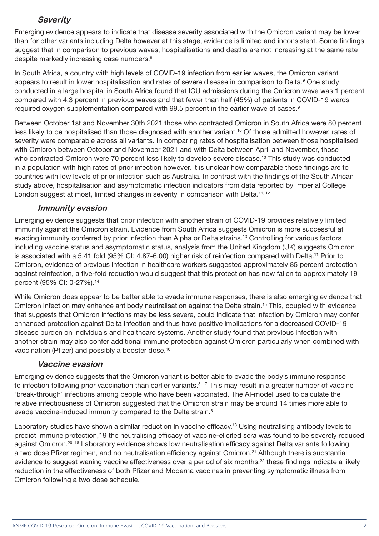#### **Severity**

Emerging evidence appears to indicate that disease severity associated with the Omicron variant may be lower than for other variants including Delta however at this stage, evidence is limited and inconsistent. Some findings suggest that in comparison to previous waves, hospitalisations and deaths are not increasing at the same rate despite markedly increasing case numbers.9

In South Africa, a country with high levels of COVID-19 infection from earlier waves, the Omicron variant appears to result in lower hospitalisation and rates of severe disease in comparison to Delta.<sup>9</sup> One study conducted in a large hospital in South Africa found that ICU admissions during the Omicron wave was 1 percent compared with 4.3 percent in previous waves and that fewer than half (45%) of patients in COVID-19 wards required oxygen supplementation compared with 99.5 percent in the earlier wave of cases.<sup>9</sup>

Between October 1st and November 30th 2021 those who contracted Omicron in South Africa were 80 percent less likely to be hospitalised than those diagnosed with another variant.10 Of those admitted however, rates of severity were comparable across all variants. In comparing rates of hospitalisation between those hospitalised with Omicron between October and November 2021 and with Delta between April and November, those who contracted Omicron were 70 percent less likely to develop severe disease.<sup>10</sup> This study was conducted in a population with high rates of prior infection however, it is unclear how comparable these findings are to countries with low levels of prior infection such as Australia. In contrast with the findings of the South African study above, hospitalisation and asymptomatic infection indicators from data reported by Imperial College London suggest at most, limited changes in severity in comparison with Delta.<sup>11, 12</sup>

#### **Immunity evasion**

Emerging evidence suggests that prior infection with another strain of COVID-19 provides relatively limited immunity against the Omicron strain. Evidence from South Africa suggests Omicron is more successful at evading immunity conferred by prior infection than Alpha or Delta strains.<sup>13</sup> Controlling for various factors including vaccine status and asymptomatic status, analysis from the United Kingdom (UK) suggests Omicron is associated with a 5.41 fold (95% CI: 4.87-6.00) higher risk of reinfection compared with Delta.<sup>11</sup> Prior to Omicron, evidence of previous infection in healthcare workers suggested approximately 85 percent protection against reinfection, a five-fold reduction would suggest that this protection has now fallen to approximately 19 percent (95% CI: 0-27%).14

While Omicron does appear to be better able to evade immune responses, there is also emerging evidence that Omicron infection may enhance antibody neutralisation against the Delta strain.15 This, coupled with evidence that suggests that Omicron infections may be less severe, could indicate that infection by Omicron may confer enhanced protection against Delta infection and thus have positive implications for a decreased COVID-19 disease burden on individuals and healthcare systems. Another study found that previous infection with another strain may also confer additional immune protection against Omicron particularly when combined with vaccination (Pfizer) and possibly a booster dose.16

#### **Vaccine evasion**

Emerging evidence suggests that the Omicron variant is better able to evade the body's immune response to infection following prior vaccination than earlier variants.<sup>8, 17</sup> This may result in a greater number of vaccine 'break-through' infections among people who have been vaccinated. The AI-model used to calculate the relative infectiousness of Omicron suggested that the Omicron strain may be around 14 times more able to evade vaccine-induced immunity compared to the Delta strain.<sup>8</sup>

Laboratory studies have shown a similar reduction in vaccine efficacy.<sup>18</sup> Using neutralising antibody levels to predict immune protection,19 the neutralising efficacy of vaccine-elicited sera was found to be severely reduced against Omicron.<sup>20, 18</sup> Laboratory evidence shows low neutralisation efficacy against Delta variants following a two dose Pfizer regimen, and no neutralisation efficiency against Omicron.<sup>21</sup> Although there is substantial evidence to suggest waning vaccine effectiveness over a period of six months,<sup>22</sup> these findings indicate a likely reduction in the effectiveness of both Pfizer and Moderna vaccines in preventing symptomatic illness from Omicron following a two dose schedule.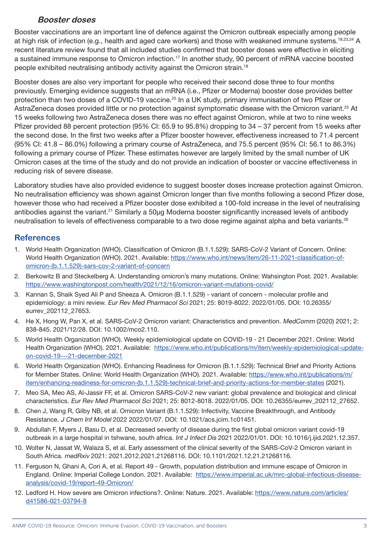#### **Booster doses**

Booster vaccinations are an important line of defence against the Omicron outbreak especially among people at high risk of infection (e.g., health and aged care workers) and those with weakened immune systems.<sup>18,23,24</sup> A recent literature review found that all included studies confirmed that booster doses were effective in eliciting a sustained immune response to Omicron infection.17 In another study, 90 percent of mRNA vaccine boosted people exhibited neutralising antibody activity against the Omicron strain.18

Booster doses are also very important for people who received their second dose three to four months previously. Emerging evidence suggests that an mRNA (i.e., Pfizer or Moderna) booster dose provides better protection than two doses of a COVID-19 vaccine.25 In a UK study, primary immunisation of two Pfizer or AstraZeneca doses provided little or no protection against symptomatic disease with the Omicron variant.25 At 15 weeks following two AstraZeneca doses there was no effect against Omicron, while at two to nine weeks Pfizer provided 88 percent protection (95% CI: 65.9 to 95.8%) dropping to 34 – 37 percent from 15 weeks after the second dose. In the first two weeks after a Pfizer booster however, effectiveness increased to 71.4 percent (95% CI: 41.8 – 86.0%) following a primary course of AstraZeneca, and 75.5 percent (95% CI: 56.1 to 86.3%) following a primary course of Pfizer. These estimates however are largely limited by the small number of UK Omicron cases at the time of the study and do not provide an indication of booster or vaccine effectiveness in reducing risk of severe disease.

Laboratory studies have also provided evidence to suggest booster doses increase protection against Omicron. No neutralisation efficiency was shown against Omicron longer than five months following a second Pfizer dose, however those who had received a Pfizer booster dose exhibited a 100-fold increase in the level of neutralising antibodies against the variant.<sup>21</sup> Similarly a 50µg Moderna booster significantly increased levels of antibody neutralisation to levels of effectiveness comparable to a two dose regime against alpha and beta variants.<sup>26</sup>

#### **References**

- 1. World Health Organization (WHO). Classification of Omicron (B.1.1.529): SARS-CoV-2 Variant of Concern. Online: World Health Organization (WHO). 2021. Available: https://www.who.int/news/item/26-11-2021-classification-ofomicron-(b.1.1.529)-sars-cov-2-variant-of-concern
- 2. Berkowitz B and Steckelberg A. Understanding omicron's many mutations. Online: Wahsington Post. 2021. Available: https://www.washingtonpost.com/health/2021/12/16/omicron-variant-mutations-covid/
- 3. Kannan S, Shaik Syed Ali P and Sheeza A. Omicron (B.1.1.529) variant of concern molecular profile and epidemiology: a mini review. Eur Rev Med Pharmacol Sci 2021; 25: 8019-8022. 2022/01/05. DOI: 10.26355/ eurrev\_202112\_27653.
- 4. He X, Hong W, Pan X, et al. SARS-CoV-2 Omicron variant: Characteristics and prevention. MedComm (2020) 2021; 2: 838-845. 2021/12/28. DOI: 10.1002/mco2.110.
- 5. World Health Organization (WHO). Weekly epidemiological update on COVID-19 21 December 2021. Online: World Health Organization (WHO). 2021. Available: https://www.who.int/publications/m/item/weekly-epidemiological-updateon-covid-19---21-december-2021
- 6. World Health Organization (WHO). Enhancing Readiness for Omicron (B.1.1.529): Technical Brief and Priority Actions for Member States. Online: World Health Organization (WHO). 2021. Available: https://www.who.int/publications/m/ item/enhancing-readiness-for-omicron-(b.1.1.529)-technical-brief-and-priority-actions-for-member-states (2021).
- 7. Meo SA, Meo AS, Al-Jassir FF, et al. Omicron SARS-CoV-2 new variant: global prevalence and biological and clinical characteristics. Eur Rev Med Pharmacol Sci 2021; 25: 8012-8018. 2022/01/05. DOI: 10.26355/eurrev\_202112\_27652.
- 8. Chen J, Wang R, Gilby NB, et al. Omicron Variant (B.1.1.529): Infectivity, Vaccine Breakthrough, and Antibody Resistance. J Chem Inf Model 2022 2022/01/07. DOI: 10.1021/acs.jcim.1c01451.
- 9. Abdullah F, Myers J, Basu D, et al. Decreased severity of disease during the first global omicron variant covid-19 outbreak in a large hospital in tshwane, south africa. Int J Infect Dis 2021 2022/01/01. DOI: 10.1016/j.ijid.2021.12.357.
- 10. Wolter N, Jassat W, Walaza S, et al. Early assessment of the clinical severity of the SARS-CoV-2 Omicron variant in South Africa. medRxiv 2021: 2021.2012.2021.21268116. DOI: 10.1101/2021.12.21.21268116.
- 11. Ferguson N, Ghani A, Cori A, et al. Report 49 Growth, population distribution and immune escape of Omicron in England. Online: Imperial College London. 2021. Available: https://www.imperial.ac.uk/mrc-global-infectious-diseaseanalysis/covid-19/report-49-Omicron/
- 12. Ledford H. How severe are Omicron infections?. Online: Nature. 2021. Available: https://www.nature.com/articles/ d41586-021-03794-8